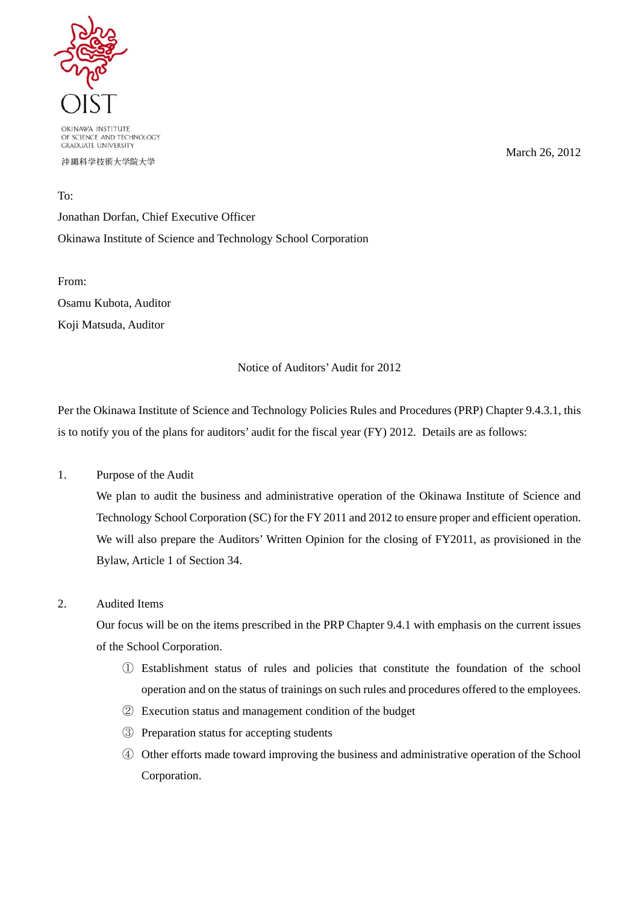

OKINAWA INSTITUTE OF SCIENCE AND TECHNOLOGY **GRADUATE UNIVERSITY** 

沖縄科学技術大学院大学

To:

March 26, 2012

Jonathan Dorfan, Chief Executive Officer Okinawa Institute of Science and Technology School Corporation

From: Osamu Kubota, Auditor Koji Matsuda, Auditor

#### Notice of Auditors' Audit for 2012

Per the Okinawa Institute of Science and Technology Policies Rules and Procedures (PRP) Chapter 9.4.3.1, this is to notify you of the plans for auditors' audit for the fiscal year (FY) 2012. Details are as follows:

1. Purpose of the Audit

We plan to audit the business and administrative operation of the Okinawa Institute of Science and Technology School Corporation (SC) for the FY 2011 and 2012 to ensure proper and efficient operation. We will also prepare the Auditors' Written Opinion for the closing of FY2011, as provisioned in the Bylaw, Article 1 of Section 34.

# 2. Audited Items

Our focus will be on the items prescribed in the PRP Chapter 9.4.1 with emphasis on the current issues of the School Corporation.

- ① Establishment status of rules and policies that constitute the foundation of the school operation and on the status of trainings on such rules and procedures offered to the employees.
- ② Execution status and management condition of the budget
- ③ Preparation status for accepting students
- ④ Other efforts made toward improving the business and administrative operation of the School Corporation.